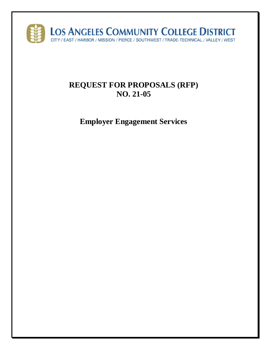

# **REQUEST FOR PROPOSALS (RFP) NO. 21-05**

**Employer Engagement Services**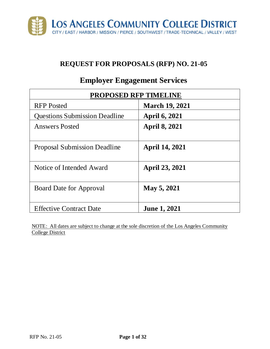

# **REQUEST FOR PROPOSALS (RFP) NO. 21-05**

# **PROPOSED RFP TIMELINE** RFP Posted **March 19, 2021** Questions Submission Deadline **April 6, 2021** Answers Posted **April 8, 2021** Proposal Submission Deadline **April 14, 2021** Notice of Intended Award **April 23, 2021** Board Date for Approval **May 5, 2021** Effective Contract Date **June 1, 2021**

# **Employer Engagement Services**

NOTE: All dates are subject to change at the sole discretion of the Los Angeles Community College District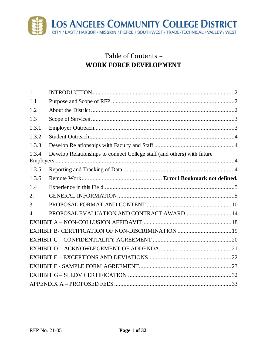

# Table of Contents – **WORK FORCE DEVELOPMENT**

| 1.    |                                                                         |  |
|-------|-------------------------------------------------------------------------|--|
| 1.1   |                                                                         |  |
| 1.2   |                                                                         |  |
| 1.3   |                                                                         |  |
| 1.3.1 |                                                                         |  |
| 1.3.2 |                                                                         |  |
| 1.3.3 |                                                                         |  |
| 1.3.4 | Develop Relationships to connect College staff (and others) with future |  |
| 1.3.5 |                                                                         |  |
| 1.3.6 |                                                                         |  |
| 1.4   |                                                                         |  |
| 2.    |                                                                         |  |
| 3.    |                                                                         |  |
| 4.    | PROPOSAL EVALUATION AND CONTRACT AWARD 14                               |  |
|       |                                                                         |  |
|       |                                                                         |  |
|       |                                                                         |  |
|       |                                                                         |  |
|       |                                                                         |  |
|       |                                                                         |  |
|       |                                                                         |  |
|       |                                                                         |  |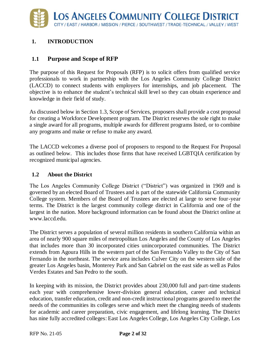#### <span id="page-3-0"></span>**1. INTRODUCTION**

#### <span id="page-3-1"></span>**1.1 Purpose and Scope of RFP**

The purpose of this Request for Proposals (RFP) is to solicit offers from qualified service professionals to work in partnership with the Los Angeles Community College District (LACCD) to connect students with employers for internships, and job placement. The objective is to enhance the student's technical skill level so they can obtain experience and knowledge in their field of study.

As discussed below in Section 1.3, Scope of Services, proposers shall provide a cost proposal for creating a Workforce Development program. The District reserves the sole right to make a single award for all programs, multiple awards for different programs listed, or to combine any programs and make or refuse to make any award.

The LACCD welcomes a diverse pool of proposers to respond to the Request For Proposal as outlined below. This includes those firms that have received LGBTQIA certification by recognized municipal agencies.

#### <span id="page-3-2"></span>**1.2 About the District**

The Los Angeles Community College District ("District") was organized in 1969 and is governed by an elected Board of Trustees and is part of the statewide California Community College system. Members of the Board of Trustees are elected at large to serve four-year terms. The District is the largest community college district in California and one of the largest in the nation. More background information can be found about the District online at www.laccd.edu.

The District serves a population of several million residents in southern California within an area of nearly 900 square miles of metropolitan Los Angeles and the County of Los Angeles that includes more than 30 incorporated cities unincorporated communities. The District extends from Agoura Hills in the western part of the San Fernando Valley to the City of San Fernando in the northeast. The service area includes Culver City on the western side of the greater Los Angeles basin, Monterey Park and San Gabriel on the east side as well as Palos Verdes Estates and San Pedro to the south.

In keeping with its mission, the District provides about 230,000 full and part-time students each year with comprehensive lower-division general education, career and technical education, transfer education, credit and non-credit instructional programs geared to meet the needs of the communities its colleges serve and which meet the changing needs of students for academic and career preparation, civic engagement, and lifelong learning. The District has nine fully accredited colleges: East Los Angeles College, Los Angeles City College, Los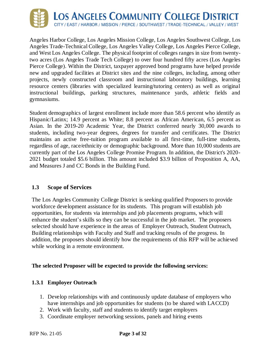

Angeles Harbor College, Los Angeles Mission College, Los Angeles Southwest College, Los Angeles Trade-Technical College, Los Angeles Valley College, Los Angeles Pierce College, and West Los Angeles College. The physical footprint of colleges ranges in size from twentytwo acres (Los Angeles Trade Tech College) to over four hundred fifty acres (Los Angeles Pierce College). Within the District, taxpayer approved bond programs have helped provide new and upgraded facilities at District sites and the nine colleges, including, among other projects, newly constructed classroom and instructional laboratory buildings, learning resource centers (libraries with specialized learning/tutoring centers) as well as original instructional buildings, parking structures, maintenance yards, athletic fields and gymnasiums.

Student demographics of largest enrollment include more than 58.6 percent who identify as Hispanic/Latinx; 14.9 percent as White; 8.8 percent as African American, 6.5 percent as Asian. In the 2019-20 Academic Year, the District conferred nearly 30,000 awards to students, including two-year degrees, degrees for transfer and certificates. The District maintains an active free-tuition program available to all first-time, full-time students, regardless of age, race/ethnicity or demographic background. More than 10,000 students are currently part of the Los Angeles College Promise Program. In addition, the District's 2020- 2021 budget totaled \$5.6 billion. This amount included \$3.9 billion of Proposition A, AA, and Measures J and CC Bonds in the Building Fund.

#### <span id="page-4-0"></span>**1.3 Scope of Services**

The Los Angeles Community College District is seeking qualified Proposers to provide workforce development assistance for its students. This program will establish job opportunities, for students via internships and job placements programs, which will enhance the student's skills so they can be successful in the job market. The proposers selected should have experience in the areas of Employer Outreach, Student Outreach, Building relationships with Faculty and Staff and tracking results of the progress. In addition, the proposers should identify how the requirements of this RFP will be achieved while working in a remote environment.

#### **The selected Proposer will be expected to provide the following services:**

#### <span id="page-4-1"></span>**1.3.1 Employer Outreach**

- 1. Develop relationships with and continuously update database of employers who have internships and job opportunities for students (to be shared with LACCD)
- 2. Work with faculty, staff and students to identify target employers
- 3. Coordinate employer networking sessions, panels and hiring events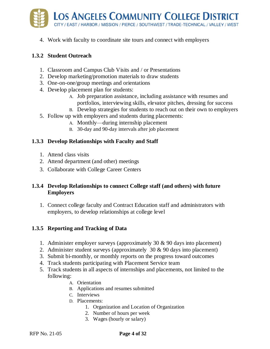

4. Work with faculty to coordinate site tours and connect with employers

#### <span id="page-5-0"></span>**1.3.2 Student Outreach**

- 1. Classroom and Campus Club Visits and / or Presentations
- 2. Develop marketing/promotion materials to draw students
- 3. One-on-one/group meetings and orientations
- 4. Develop placement plan for students:
	- A. Job preparation assistance, including assistance with resumes and portfolios, interviewing skills, elevator pitches, dressing for success
	- B. Develop strategies for students to reach out on their own to employers
- 5. Follow up with employers and students during placements:
	- A. Monthly—during internship placement
	- B. 30-day and 90-day intervals after job placement

#### <span id="page-5-1"></span>**1.3.3 Develop Relationships with Faculty and Staff**

- 1. Attend class visits
- 2. Attend department (and other) meetings
- 3. Collaborate with College Career Centers

#### <span id="page-5-2"></span>**1.3.4 Develop Relationships to connect College staff (and others) with future Employers**

1. Connect college faculty and Contract Education staff and administrators with employers, to develop relationships at college level

#### <span id="page-5-3"></span>**1.3.5 Reporting and Tracking of Data**

- 1. Administer employer surveys (approximately 30 & 90 days into placement)
- 2. Administer student surveys (approximately  $30 \& 90$  days into placement)
- 3. Submit bi-monthly, or monthly reports on the progress toward outcomes
- 4. Track students participating with Placement Service team
- 5. Track students in all aspects of internships and placements, not limited to the following:
	- A. Orientation
	- B. Applications and resumes submitted
	- C. Interviews
	- D. Placements:
		- 1. Organization and Location of Organization
		- 2. Number of hours per week
		- 3. Wages (hourly or salary)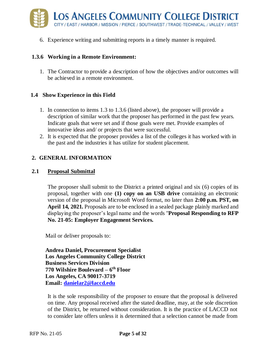

6. Experience writing and submitting reports in a timely manner is required.

#### **1.3.6 Working in a Remote Environment:**

1. The Contractor to provide a description of how the objectives and/or outcomes will be achieved in a remote environment.

#### <span id="page-6-0"></span>**1.4 Show Experience in this Field**

- 1. In connection to items 1.3 to 1.3.6 (listed above), the proposer will provide a description of similar work that the proposer has performed in the past few years. Indicate goals that were set and if those goals were met. Provide examples of innovative ideas and/ or projects that were successful.
- 2. It is expected that the proposer provides a list of the colleges it has worked with in the past and the industries it has utilize for student placement.

#### <span id="page-6-1"></span>**2. GENERAL INFORMATION**

#### **2.1 Proposal Submittal**

The proposer shall submit to the District a printed original and six (6) copies of its proposal, together with one **(1) copy on an USB drive** containing an electronic version of the proposal in Microsoft Word format, no later than **2:00 p.m. PST, on April 14, 2021.** Proposals are to be enclosed in a sealed package plainly marked and displaying the proposer's legal name and the words "**Proposal Responding to RFP No. 21-05: Employer Engagement Services.**

Mail or deliver proposals to:

**Andrea Daniel, Procurement Specialist Los Angeles Community College District Business Services Division 770 Wilshire Boulevard – 6 th Floor Los Angeles, CA 90017-3719 Email: [danielar2@laccd.edu](mailto:danielar2@laccd.edu)**

It is the sole responsibility of the proposer to ensure that the proposal is delivered on time. Any proposal received after the stated deadline, may, at the sole discretion of the District, be returned without consideration. It is the practice of LACCD not to consider late offers unless it is determined that a selection cannot be made from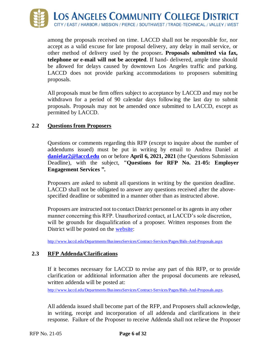

among the proposals received on time. LACCD shall not be responsible for, nor accept as a valid excuse for late proposal delivery, any delay in mail service, or other method of delivery used by the proposer**. Proposals submitted via fax, telephone or e-mail will not be accepted**. If hand- delivered, ample time should be allowed for delays caused by downtown Los Angeles traffic and parking. LACCD does not provide parking accommodations to proposers submitting proposals.

All proposals must be firm offers subject to acceptance by LACCD and may not be withdrawn for a period of 90 calendar days following the last day to submit proposals. Proposals may not be amended once submitted to LACCD, except as permitted by LACCD.

#### **2.2 Questions from Proposers**

Questions or comments regarding this RFP (except to inquire about the number of addendums issued) must be put in writing by email to Andrea Daniel at **[danielar2@laccd.edu](mailto:danielar2@laccd.edu)** on or before **April 6, 2021, 2021** (the Questions Submission Deadline), with the subject, **"Questions for RFP No. 21-05: Employer Engagement Services ".**

Proposers are asked to submit all questions in writing by the question deadline. LACCD shall not be obligated to answer any questions received after the abovespecified deadline or submitted in a manner other than as instructed above.

Proposers are instructed not to contact District personnel or its agents in any other manner concerning this RFP. Unauthorized contact, at LACCD's sole discretion, will be grounds for disqualification of a proposer. Written responses from the District will be posted on the [website:](http://www.laccd.edu/Departments/BusinessServices/Contract-Services/Pages/Bids-And-Proposals.aspx)

<http://www.laccd.edu/Departments/BusinessServices/Contract-Services/Pages/Bids-And-Proposals.aspx>

#### **2.3 RFP Addenda/Clarifications**

If it becomes necessary for LACCD to revise any part of this RFP, or to provide clarification or additional information after the proposal documents are released, written addenda will be posted at:

<http://www.laccd.edu/Departments/BusinessServices/Contract->[Services/Pages/Bids-And-Proposals.aspx.](http://www.laccd.edu/Departments/BusinessServices/Contract-Services/Pages/Bids-And-Proposals.aspx)

All addenda issued shall become part of the RFP, and Proposers shall acknowledge, in writing, receipt and incorporation of all addenda and clarifications in their response. Failure of the Proposer to receive Addenda shall not relieve the Proposer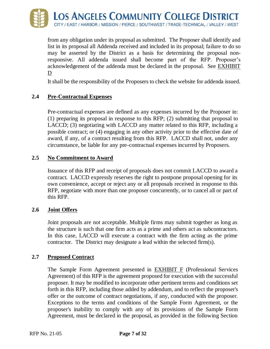

from any obligation under its proposal as submitted. The Proposer shall identify and list in its proposal all Addenda received and included in its proposal; failure to do so may be asserted by the District as a basis for determining the proposal nonresponsive. All addenda issued shall become part of the RFP. Proposer's acknowledgement of the addenda must be declared in the proposal. See EXHIBIT D

It shall be the responsibility of the Proposers to check the website for addenda issued.

#### **2.4 Pre-Contractual Expenses**

Pre-contractual expenses are defined as any expenses incurred by the Proposer in: (1) preparing its proposal in response to this RFP; (2) submitting that proposal to LACCD; (3) negotiating with LACCD any matter related to this RFP, including a possible contract; or (4) engaging in any other activity prior to the effective date of award, if any, of a contract resulting from this RFP. LACCD shall not, under any circumstance, be liable for any pre-contractual expenses incurred by Proposers.

#### **2.5 No Commitment to Award**

Issuance of this RFP and receipt of proposals does not commit LACCD to award a contract. LACCD expressly reserves the right to postpone proposal opening for its own convenience, accept or reject any or all proposals received in response to this RFP, negotiate with more than one proposer concurrently, or to cancel all or part of this RFP.

#### **2.6 Joint Offers**

Joint proposals are not acceptable. Multiple firms may submit together as long as the structure is such that one firm acts as a prime and others act as subcontractors. In this case, LACCD will execute a contract with the firm acting as the prime contractor. The District may designate a lead within the selected firm(s).

#### **2.7 Proposed Contract**

The Sample Form Agreement presented in **EXHIBIT F** (Professional Services Agreement) of this RFP is the agreement proposed for execution with the successful proposer. It may be modified to incorporate other pertinent terms and conditions set forth in this RFP, including those added by addendum, and to reflect the proposer's offer or the outcome of contract negotiations, if any, conducted with the proposer. Exceptions to the terms and conditions of the Sample Form Agreement, or the proposer's inability to comply with any of its provisions of the Sample Form Agreement, must be declared in the proposal, as provided in the following Section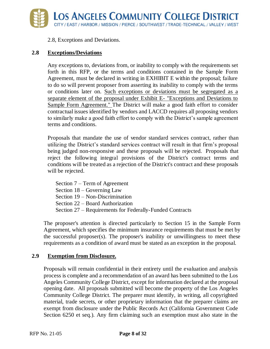

2.8, Exceptions and Deviations.

#### **2.8 Exceptions/Deviations**

Any exceptions to, deviations from, or inability to comply with the requirements set forth in this RFP, or the terms and conditions contained in the Sample Form Agreement, must be declared in writing in EXHIBIT E within the proposal; failure to do so will prevent proposer from asserting its inability to comply with the terms or conditions later on. Such exceptions or deviations must be segregated as a separate element of the proposal under Exhibit E- "Exceptions and Deviations to Sample Form Agreement." The District will make a good faith effort to consider contractual issues identified by vendors and LACCD requires all proposing vendors to similarly make a good faith effort to comply with the District's sample agreement terms and conditions.

Proposals that mandate the use of vendor standard services contract, rather than utilizing the District's standard services contract will result in that firm's proposal being judged non-responsive and these proposals will be rejected. Proposals that reject the following integral provisions of the District's contract terms and conditions will be treated as a rejection of the District's contract and these proposals will be rejected.

Section 7 – Term of Agreement Section 18 – Governing Law Section 19 – Non-Discrimination Section 22 – Board Authorization Section 27 – Requirements for Federally-Funded Contracts

The proposer's attention is directed particularly to Section 15 in the Sample Form Agreement, which specifies the minimum insurance requirements that must be met by the successful proposer(s). The proposer's inability or unwillingness to meet these requirements as a condition of award must be stated as an exception in the proposal.

#### **2.9 Exemption from Disclosure.**

Proposals will remain confidential in their entirety until the evaluation and analysis process is complete and a recommendation of an award has been submitted to the Los Angeles Community College District, except for information declared at the proposal opening date. All proposals submitted will become the property of the Los Angeles Community College District. The preparer must identify, in writing, all copyrighted material, trade secrets, or other proprietary information that the preparer claims are exempt from disclosure under the Public Records Act (California Government Code Section 6250 et seq.). Any firm claiming such an exemption must also state in the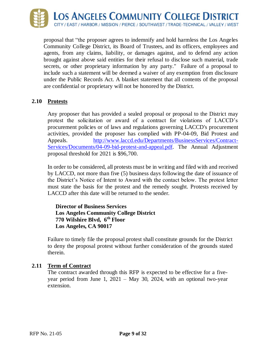

proposal that "the proposer agrees to indemnify and hold harmless the Los Angeles Community College District, its Board of Trustees, and its officers, employees and agents, from any claims, liability, or damages against, and to defend any action brought against above said entities for their refusal to disclose such material, trade secrets, or other proprietary information by any party." Failure of a proposal to include such a statement will be deemed a waiver of any exemption from disclosure under the Public Records Act. A blanket statement that all contents of the proposal are confidential or proprietary will not be honored by the District.

#### **2.10 Protests**

Any proposer that has provided a sealed proposal or proposal to the District may protest the solicitation or award of a contract for violations of LACCD's procurement policies or of laws and regulations governing LACCD's procurement activities, provided the proposer has complied with PP-04-09, Bid Protest and Appeals. [http://www.laccd.edu/Departments/BusinessServices/Contract-](http://www.laccd.edu/Departments/BusinessServices/Contract-Services/Documents/04-09-bid-protest-and-appeal.pdf)[Services/Documents/04-09-bid-protest-and-appeal.pdf.](http://www.laccd.edu/Departments/BusinessServices/Contract-Services/Documents/04-09-bid-protest-and-appeal.pdf) The Annual Adjustment proposal threshold for 2021 is \$96,700.

In order to be considered, all protests must be in writing and filed with and received by LACCD, not more than five (5) business days following the date of issuance of the District's Notice of Intent to Award with the contact below. The protest letter must state the basis for the protest and the remedy sought. Protests received by LACCD after this date will be returned to the sender.

**Director of Business Services Los Angeles Community College District 770 Wilshire Blvd, 6th Floor Los Angeles, CA 90017**

Failure to timely file the proposal protest shall constitute grounds for the District to deny the proposal protest without further consideration of the grounds stated therein.

#### **2.11 Term of Contract**

The contract awarded through this RFP is expected to be effective for a fiveyear period from June 1, 2021 – May 30, 2024, with an optional two-year extension.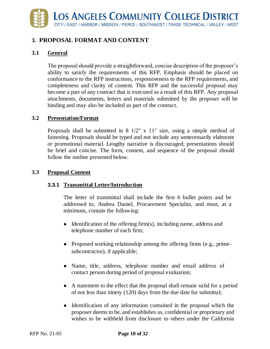# <span id="page-11-0"></span>**3. PROPOSAL FORMAT AND CONTENT**

#### **3.1 General**

The proposal should provide a straightforward, concise description of the proposer's ability to satisfy the requirements of this RFP. Emphasis should be placed on conformance to the RFP instructions, responsiveness to the RFP requirements, and completeness and clarity of content. This RFP and the successful proposal may become a part of any contract that is executed as a result of this RFP. Any proposal attachments, documents, letters and materials submitted by the proposer will be binding and may also be included as part of the contract.

#### **3.2 Presentation/Format**

Proposals shall be submitted in  $8 \frac{1}{2}$ " x  $11$ " size, using a simple method of fastening. Proposals should be typed and not include any unnecessarily elaborate or promotional material. Lengthy narrative is discouraged; presentations should be brief and concise. The form, content, and sequence of the proposal should follow the outline presented below.

#### **3.3 Proposal Content**

#### **3.3.1 Transmittal Letter/Introduction**

The letter of transmittal shall include the first 6 bullet points and be addressed to, Andrea Daniel, Procurement Specialist, and must, at a minimum, contain the following:

- Identification of the offering firm(s), including name, address and telephone number of each firm;
- Proposed working relationship among the offering firms (e.g., primesubcontractor), if applicable;
- Name, title, address, telephone number and email address of contact person during period of proposal evaluation;
- A statement to the effect that the proposal shall remain valid for a period of not less than ninety (120) days from the due date for submittal;
- Identification of any information contained in the proposal which the proposer deems to be, and establishes as, confidential or proprietary and wishes to be withheld from disclosure to others under the California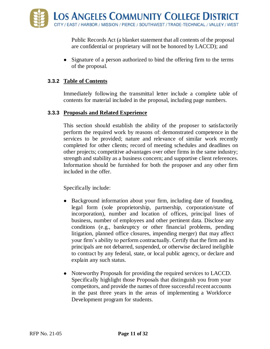Public Records Act (a blanket statement that all contents of the proposal are confidential or proprietary will not be honored by LACCD); and

• Signature of a person authorized to bind the offering firm to the terms of the proposal.

#### **3.3.2 Table of Contents**

Immediately following the transmittal letter include a complete table of contents for material included in the proposal, including page numbers.

#### **3.3.3 Proposals and Related Experience**

This section should establish the ability of the proposer to satisfactorily perform the required work by reasons of: demonstrated competence in the services to be provided; nature and relevance of similar work recently completed for other clients; record of meeting schedules and deadlines on other projects; competitive advantages over other firms in the same industry; strength and stability as a business concern; and supportive client references. Information should be furnished for both the proposer and any other firm included in the offer.

Specifically include:

- Background information about your firm, including date of founding, legal form (sole proprietorship, partnership, corporation/state of incorporation), number and location of offices, principal lines of business, number of employees and other pertinent data. Disclose any conditions (e.g., bankruptcy or other financial problems, pending litigation, planned office closures, impending merger) that may affect your firm's ability to perform contractually. Certify that the firm and its principals are not debarred, suspended, or otherwise declared ineligible to contract by any federal, state, or local public agency, or declare and explain any such status.
- Noteworthy Proposals for providing the required services to LACCD. Specifically highlight those Proposals that distinguish you from your competitors, and provide the names of three successful recent accounts in the past three years in the areas of implementing a Workforce Development program for students.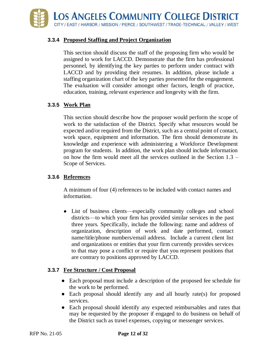

#### **3.3.4 Proposed Staffing and Project Organization**

This section should discuss the staff of the proposing firm who would be assigned to work for LACCD. Demonstrate that the firm has professional personnel, by identifying the key parties to perform under contract with LACCD and by providing their resumes. In addition, please include a staffing organization chart of the key parties presented for the engagement. The evaluation will consider amongst other factors, length of practice, education, training, relevant experience and longevity with the firm.

#### **3.3.5 Work Plan**

This section should describe how the proposer would perform the scope of work to the satisfaction of the District. Specify what resources would be expected and/or required from the District, such as a central point of contact, work space, equipment and information. The firm should demonstrate its knowledge and experience with administering a Workforce Development program for students. In addition, the work plan should include information on how the firm would meet all the services outlined in the Section  $1.3 -$ Scope of Services.

#### **3.3.6 References**

A minimum of four (4) references to be included with contact names and information.

• List of business clients—especially community colleges and school districts—to which your firm has provided similar services in the past three years. Specifically, include the following: name and address of organization, description of work and date performed, contact name/title/phone numbers/email address. Include a current client list and organizations or entities that your firm currently provides services to that may pose a conflict or require that you represent positions that are contrary to positions approved by LACCD.

#### **3.3.7 Fee Structure / Cost Proposal**

- Each proposal must include a description of the proposed fee schedule for the work to be performed.
- Each proposal should identify any and all hourly rate(s) for proposed services.
- Each proposal should identify any expected reimbursables and rates that may be requested by the proposer if engaged to do business on behalf of the District such as travel expenses, copying or messenger services.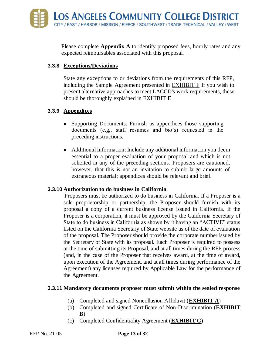Please complete **Appendix A** to identify proposed fees, hourly rates and any expected reimbursables associated with this proposal.

#### **3.3.8 Exceptions/Deviations**

State any exceptions to or deviations from the requirements of this RFP, including the Sample Agreement presented in EXHIBIT F If you wish to present alternative approaches to meet LACCD's work requirements, these should be thoroughly explained in EXHIBIT E

#### **3.3.9 Appendices**

- Supporting Documents: Furnish as appendices those supporting documents (e.g., staff resumes and bio's) requested in the preceding instructions.
- Additional Information: Include any additional information you deem essential to a proper evaluation of your proposal and which is not solicited in any of the preceding sections. Proposers are cautioned, however, that this is not an invitation to submit large amounts of extraneous material; appendices should be relevant and brief.

#### **3.3.10 Authorization to do business in California**

Proposers must be authorized to do business in California. If a Proposer is a sole proprietorship or partnership, the Proposer should furnish with its proposal a copy of a current business license issued in California. If the Proposer is a corporation, it must be approved by the California Secretary of State to do business in California as shown by it having an "ACTIVE" status listed on the California Secretary of State website as of the date of evaluation of the proposal. The Proposer should provide the corporate number issued by the Secretary of State with its proposal. Each Proposer is required to possess at the time of submitting its Proposal, and at all times during the RFP process (and, in the case of the Proposer that receives award, at the time of award, upon execution of the Agreement, and at all times during performance of the Agreement) any licenses required by Applicable Law for the performance of the Agreement.

#### **3.3.11 Mandatory documents proposer must submit within the sealed response**

- (a) Completed and signed Noncollusion Affidavit (**EXHIBIT A**)
- (b) Completed and signed Certificate of Non-Discrimination (**EXHIBIT B**)
- (c) Completed Confidentiality Agreement (**EXHIBIT C**)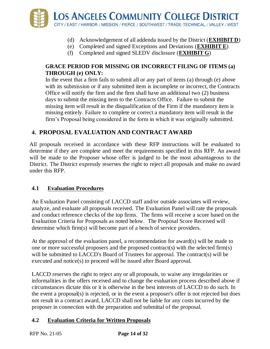

- (d) Acknowledgement of all addenda issued by the District (**EXHIBIT D**)
- (e) Completed and signed Exceptions and Deviations (**EXHIBIT E**)
- (f) Completed and signed SLEDV disclosure (**EXHIBIT G**)

#### **GRACE PERIOD FOR MISSING OR INCORRECT FILING OF ITEMS (a) THROUGH (e) ONLY:**

In the event that a firm fails to submit all or any part of items (a) through (e) above with its submission or if any submitted item is incomplete or incorrect, the Contracts Office will notify the firm and the firm shall have an additional two (2) business days to submit the missing item to the Contracts Office. Failure to submit the missing item will result in the disqualification of the Firm if the mandatory item is missing entirely. Failure to complete or correct a mandatory item will result in the firm's Proposal being considered in the form in which it was originally submitted.

#### <span id="page-15-0"></span>**4. PROPOSAL EVALUATION AND CONTRACT AWARD**

All proposals received in accordance with these RFP instructions will be evaluated to determine if they are complete and meet the requirements specified in this RFP. An award will be made to the Proposer whose offer is judged to be the most advantageous to the District. The District expressly reserves the right to reject all proposals and make no award under this RFP.

#### **4.1 Evaluation Procedures**

An Evaluation Panel consisting of LACCD staff and/or outside associates will review, analyze, and evaluate all proposals received. The Evaluation Panel will rate the proposals and conduct reference checks of the top firms. The firms will receive a score based on the Evaluation Criteria for Proposals as noted below. The Proposal Score Received will determine which firm(s) will become part of a bench of service providers.

At the approval of the evaluation panel, a recommendation for award(s) will be made to one or more successful proposers and the proposed contract(s) with the selected firm(s) will be submitted to LACCD's Board of Trustees for approval. The contract(s) will be executed and notice(s) to proceed will be issued after Board approval.

LACCD reserves the right to reject any or all proposals, to waive any irregularities or informalities in the offers received and to change the evaluation process described above if circumstances dictate this or it is otherwise in the best interests of LACCD to do such. In the event a proposal(s) is rejected, or in the event a proposer's offer is not rejected but does not result in a contract award, LACCD shall not be liable for any costs incurred by the proposer in connection with the preparation and submittal of the proposal.

#### **4.2 Evaluation Criteria for Written Proposals**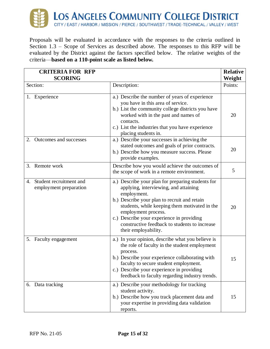

Proposals will be evaluated in accordance with the responses to the criteria outlined in Section 1.3 – Scope of Services as described above. The responses to this RFP will be evaluated by the District against the factors specified below. The relative weights of the criteria—**based on a 110-point scale as listed below.**

| <b>CRITERIA FOR RFP</b>                                 |                                                                                                                                                                                                                                                                                                                                                         | <b>Relative</b> |
|---------------------------------------------------------|---------------------------------------------------------------------------------------------------------------------------------------------------------------------------------------------------------------------------------------------------------------------------------------------------------------------------------------------------------|-----------------|
| <b>SCORING</b>                                          |                                                                                                                                                                                                                                                                                                                                                         | Weight          |
| Section:                                                | Description:                                                                                                                                                                                                                                                                                                                                            | Points:         |
| Experience<br>1.                                        | a.) Describe the number of years of experience<br>you have in this area of service.<br>b.) List the community college districts you have<br>worked with in the past and names of<br>contacts.<br>c.) List the industries that you have experience<br>placing students in.                                                                               | 20              |
| Outcomes and successes<br>2.                            | a.) Describe your successes in achieving the<br>stated outcomes and goals of prior contracts.<br>b.) Describe how you measure success. Please<br>provide examples.                                                                                                                                                                                      | 20              |
| 3. Remote work                                          | Describe how you would achieve the outcomes of<br>the scope of work in a remote environment.                                                                                                                                                                                                                                                            | 5               |
| Student recruitment and<br>4.<br>employment preparation | a.) Describe your plan for preparing students for<br>applying, interviewing, and attaining<br>employment.<br>b.) Describe your plan to recruit and retain<br>students, while keeping them motivated in the<br>employment process.<br>c.) Describe your experience in providing<br>constructive feedback to students to increase<br>their employability. | 20              |
| Faculty engagement<br>5.                                | a.) In your opinion, describe what you believe is<br>the role of faculty in the student employment<br>process.<br>b.) Describe your experience collaborating with<br>faculty to secure student employment.<br>c.) Describe your experience in providing<br>feedback to faculty regarding industry trends.                                               | 15              |
| 6. Data tracking                                        | a.) Describe your methodology for tracking<br>student activity.<br>b.) Describe how you track placement data and<br>your expertise in providing data validation<br>reports.                                                                                                                                                                             | 15              |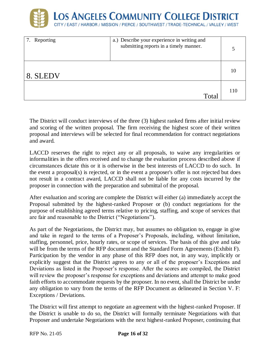

| 7. Reporting | a.) Describe your experience in writing and<br>submitting reports in a timely manner. |     |
|--------------|---------------------------------------------------------------------------------------|-----|
| 8. SLEDV     |                                                                                       | 10  |
|              | Total                                                                                 | 110 |

The District will conduct interviews of the three (3) highest ranked firms after initial review and scoring of the written proposal. The firm receiving the highest score of their written proposal and interviews will be selected for final recommendation for contract negotiations and award.

LACCD reserves the right to reject any or all proposals, to waive any irregularities or informalities in the offers received and to change the evaluation process described above if circumstances dictate this or it is otherwise in the best interests of LACCD to do such. In the event a proposal(s) is rejected, or in the event a proposer's offer is not rejected but does not result in a contract award, LACCD shall not be liable for any costs incurred by the proposer in connection with the preparation and submittal of the proposal.

After evaluation and scoring are complete the District will either (a) immediately accept the Proposal submitted by the highest-ranked Proposer or (b) conduct negotiations for the purpose of establishing agreed terms relative to pricing, staffing, and scope of services that are fair and reasonable to the District ("Negotiations").

As part of the Negotiations, the District may, but assumes no obligation to, engage in give and take in regard to the terms of a Proposer's Proposals, including, without limitation, staffing, personnel, price, hourly rates, or scope of services. The basis of this give and take will be from the terms of the RFP document and the Standard Form Agreements (Exhibit F). Participation by the vendor in any phase of this RFP does not, in any way, implicitly or explicitly suggest that the District agrees to any or all of the proposer's Exceptions and Deviations as listed in the Proposer's response. After the scores are compiled, the District will review the proposer's response for exceptions and deviations and attempt to make good faith efforts to accommodate requests by the proposer. In no event, shall the District be under any obligation to vary from the terms of the RFP Document as delineated in Section V. F: Exceptions / Deviations.

The District will first attempt to negotiate an agreement with the highest-ranked Proposer. If the District is unable to do so, the District will formally terminate Negotiations with that Proposer and undertake Negotiations with the next highest-ranked Proposer, continuing that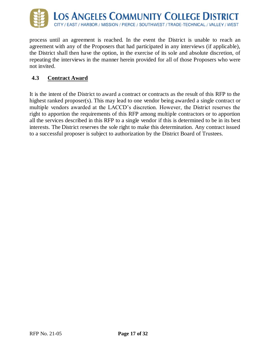

process until an agreement is reached. In the event the District is unable to reach an agreement with any of the Proposers that had participated in any interviews (if applicable), the District shall then have the option, in the exercise of its sole and absolute discretion, of repeating the interviews in the manner herein provided for all of those Proposers who were not invited.

#### **4.3 Contract Award**

It is the intent of the District to award a contract or contracts as the result of this RFP to the highest ranked proposer(s). This may lead to one vendor being awarded a single contract or multiple vendors awarded at the LACCD's discretion. However, the District reserves the right to apportion the requirements of this RFP among multiple contractors or to apportion all the services described in this RFP to a single vendor if this is determined to be in its best interests. The District reserves the sole right to make this determination. Any contract issued to a successful proposer is subject to authorization by the District Board of Trustees.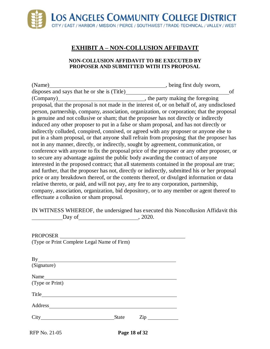# **EXHIBIT A – NON-COLLUSION AFFIDAVIT**

#### **NON-COLLUSION AFFIDAVIT TO BE EXECUTED BY PROPOSER AND SUBMITTED WITH ITS PROPOSAL**

<span id="page-19-0"></span>

| , being first duly sworn,                                                                     |
|-----------------------------------------------------------------------------------------------|
| of                                                                                            |
| , the party making the foregoing                                                              |
| proposal, that the proposal is not made in the interest of, or on behalf of, any undisclosed  |
| person, partnership, company, association, organization, or corporation; that the proposal    |
| is genuine and not collusive or sham; that the proposer has not directly or indirectly        |
| induced any other proposer to put in a false or sham proposal, and has not directly or        |
| indirectly colluded, conspired, connived, or agreed with any proposer or anyone else to       |
| put in a sham proposal, or that anyone shall refrain from proposing; that the proposer has    |
| not in any manner, directly, or indirectly, sought by agreement, communication, or            |
| conference with anyone to fix the proposal price of the proposer or any other proposer, or    |
| to secure any advantage against the public body awarding the contract of anyone               |
| interested in the proposed contract; that all statements contained in the proposal are true;  |
| and further, that the proposer has not, directly or indirectly, submitted his or her proposal |
| price or any breakdown thereof, or the contents thereof, or divulged information or data      |
| relative thereto, or paid, and will not pay, any fee to any corporation, partnership,         |
| company, association, organization, bid depository, or to any member or agent thereof to      |
|                                                                                               |
|                                                                                               |

IN WITNESS WHEREOF, the undersigned has executed this Noncollusion Affidavit this Day of  $\qquad \qquad .2020.$ 

| PROPOSER<br>(Type or Print Complete Legal Name of Firm) |  |
|---------------------------------------------------------|--|
| By                                                      |  |
| (Signature)                                             |  |
| Name<br>(Type or Print)                                 |  |
|                                                         |  |
| <b>Address</b>                                          |  |
| State<br>$\overline{\mathrm{Zip}}$                      |  |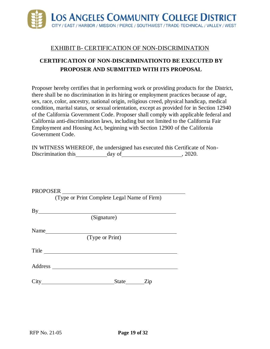

#### EXHIBIT B- CERTIFICATION OF NON-DISCRIMINATION

# <span id="page-20-0"></span>**CERTIFICATION OF NON-DISCRIMINATIONTO BE EXECUTED BY PROPOSER AND SUBMITTED WITH ITS PROPOSAL**

Proposer hereby certifies that in performing work or providing products for the District, there shall be no discrimination in its hiring or employment practices because of age, sex, race, color, ancestry, national origin, religious creed, physical handicap, medical condition, marital status, or sexual orientation, except as provided for in Section 12940 of the California Government Code. Proposer shall comply with applicable federal and California anti-discrimination laws, including but not limited to the California Fair Employment and Housing Act, beginning with Section 12900 of the California Government Code.

|                     |        | IN WITNESS WHEREOF, the undersigned has executed this Certificate of Non- |       |  |
|---------------------|--------|---------------------------------------------------------------------------|-------|--|
| Discrimination this | day of |                                                                           | 2020. |  |

| <b>PROPOSER</b> |                                             |
|-----------------|---------------------------------------------|
|                 | (Type or Print Complete Legal Name of Firm) |
|                 |                                             |
|                 | (Signature)                                 |
|                 | Name                                        |
|                 | (Type or Print)                             |
| Title $\_\_$    |                                             |
|                 |                                             |
|                 | State Zip                                   |
|                 |                                             |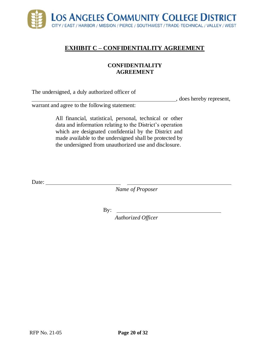

### <span id="page-21-0"></span>**EXHIBIT C – CONFIDENTIALITY AGREEMENT**

#### **CONFIDENTIALITY AGREEMENT**

The undersigned, a duly authorized officer of

, does hereby represent,

warrant and agree to the following statement:

All financial, statistical, personal, technical or other data and information relating to the District's operation which are designated confidential by the District and made available to the undersigned shall be protected by the undersigned from unauthorized use and disclosure.

Date:

*Name of Proposer*

By:

*Authorized Officer*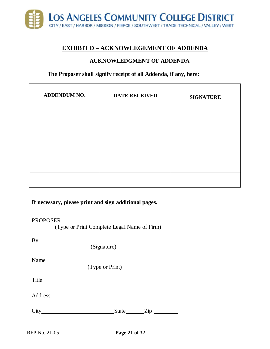

#### <span id="page-22-0"></span>**EXHIBIT D – ACKNOWLEGEMENT OF ADDENDA**

#### **ACKNOWLEDGMENT OF ADDENDA**

#### **The Proposer shall signify receipt of all Addenda, if any, here**:

| ADDENDUM NO. | <b>DATE RECEIVED</b> | <b>SIGNATURE</b> |
|--------------|----------------------|------------------|
|              |                      |                  |
|              |                      |                  |
|              |                      |                  |
|              |                      |                  |
|              |                      |                  |
|              |                      |                  |

**If necessary, please print and sign additional pages.**

PROPOSER

(Type or Print Complete Legal Name of Firm)

(Signature)

Name

(Type or Print)

Title

Address

City State Zip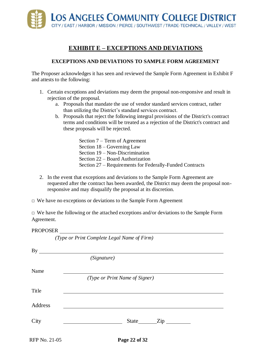

## **EXHIBIT E – EXCEPTIONS AND DEVIATIONS**

#### <span id="page-23-0"></span>**EXCEPTIONS AND DEVIATIONS TO SAMPLE FORM AGREEMENT**

The Proposer acknowledges it has seen and reviewed the Sample Form Agreement in Exhibit F and attests to the following:

- 1. Certain exceptions and deviations may deem the proposal non-responsive and result in rejection of the proposal.
	- a. Proposals that mandate the use of vendor standard services contract, rather than utilizing the District's standard services contract.
	- b. Proposals that reject the following integral provisions of the District's contract terms and conditions will be treated as a rejection of the District's contract and these proposals will be rejected.
		- Section 7 Term of Agreement Section 18 – Governing Law Section 19 – Non-Discrimination Section 22 – Board Authorization Section 27 – Requirements for Federally-Funded Contracts
- 2. In the event that exceptions and deviations to the Sample Form Agreement are requested after the contract has been awarded, the District may deem the proposal nonresponsive and may disqualify the proposal at its discretion.
- $\Box$  We have no exceptions or deviations to the Sample Form Agreement

*(Type or Print Complete Legal Name of Firm)*

 $\Box$  We have the following or the attached exceptions and/or deviations to the Sample Form Agreement.

#### PROPOSER

|               | $(1)$ pe or $(1)$ run Comprete Legar Name of $(1)$ m) |
|---------------|-------------------------------------------------------|
|               | (Signature)                                           |
| Name          |                                                       |
|               | (Type or Print Name of Signer)                        |
| Title         |                                                       |
| Address       |                                                       |
| City          | State Zip                                             |
| RFP No. 21-05 | Page 22 of 32                                         |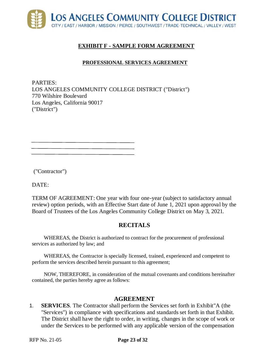

#### **EXHIBIT F - SAMPLE FORM AGREEMENT**

#### **PROFESSIONAL SERVICES AGREEMENT**

<span id="page-24-0"></span>PARTIES: LOS ANGELES COMMUNITY COLLEGE DISTRICT ("District") 770 Wilshire Boulevard Los Angeles, California 90017 ("District")

("Contractor")

DATE:

TERM OF AGREEMENT: One year with four one-year (subject to satisfactory annual review) option periods, with an Effective Start date of June 1, 2021 upon approval by the Board of Trustees of the Los Angeles Community College District on May 3, 2021.

#### **RECITALS**

WHEREAS, the District is authorized to contract for the procurement of professional services as authorized by law; and

WHEREAS, the Contractor is specially licensed, trained, experienced and competent to perform the services described herein pursuant to this agreement;

NOW, THEREFORE, in consideration of the mutual covenants and conditions hereinafter contained, the parties hereby agree as follows:

#### **AGREEMENT**

1. **SERVICES**. The Contractor shall perform the Services set forth in Exhibit"A (the "Services") in compliance with specifications and standards set forth in that Exhibit. The District shall have the right to order, in writing, changes in the scope of work or under the Services to be performed with any applicable version of the compensation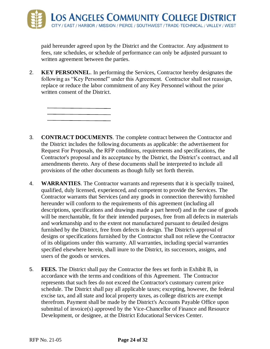paid hereunder agreed upon by the District and the Contractor. Any adjustment to fees, rate schedules, or schedule of performance can only be adjusted pursuant to written agreement between the parties.

2. **KEY PERSONNEL**. In performing the Services, Contractor hereby designates the following as "Key Personnel" under this Agreement. Contractor shall not reassign, replace or reduce the labor commitment of any Key Personnel without the prior written consent of the District.



- 4. **WARRANTIES**. The Contractor warrants and represents that it is specially trained, qualified, duly licensed, experienced, and competent to provide the Services. The Contractor warrants that Services (and any goods in connection therewith) furnished hereunder will conform to the requirements of this agreement (including all descriptions, specifications and drawings made a part hereof) and in the case of goods will be merchantable, fit for their intended purposes, free from all defects in materials and workmanship and to the extent not manufactured pursuant to detailed designs furnished by the District, free from defects in design. The District's approval of designs or specifications furnished by the Contractor shall not relieve the Contractor of its obligations under this warranty. All warranties, including special warranties specified elsewhere herein, shall inure to the District, its successors, assigns, and users of the goods or services.
- 5. **FEES.** The District shall pay the Contractor the fees set forth in Exhibit B, in accordance with the terms and conditions of this Agreement. The Contractor represents that such fees do not exceed the Contractor's customary current price schedule. The District shall pay all applicable taxes; excepting, however, the federal excise tax, and all state and local property taxes, as college districts are exempt therefrom. Payment shall be made by the District's Accounts Payable Office upon submittal of invoice(s) approved by the Vice-Chancellor of Finance and Resource Development, or designee, at the District Educational Services Center.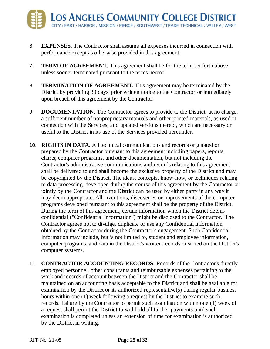- 6. **EXPENSES**. The Contractor shall assume all expenses incurred in connection with performance except as otherwise provided in this agreement.
- 7. **TERM OF AGREEMENT**. This agreement shall be for the term set forth above, unless sooner terminated pursuant to the terms hereof.
- 8. **TERMINATION OF AGREEMENT.** This agreement may be terminated by the District by providing 30 days' prior written notice to the Contractor or immediately upon breach of this agreement by the Contractor.
- 9. **DOCUMENTATION.** The Contractor agrees to provide to the District, at no charge, a sufficient number of nonproprietary manuals and other printed materials, as used in connection with the Services, and updated versions thereof, which are necessary or useful to the District in its use of the Services provided hereunder.
- 10. **RIGHTS IN DATA.** All technical communications and records originated or prepared by the Contractor pursuant to this agreement including papers, reports, charts, computer programs, and other documentation, but not including the Contractor's administrative communications and records relating to this agreement shall be delivered to and shall become the exclusive property of the District and may be copyrighted by the District. The ideas, concepts, know-how, or techniques relating to data processing, developed during the course of this agreement by the Contractor or jointly by the Contractor and the District can be used by either party in any way it may deem appropriate. All inventions, discoveries or improvements of the computer programs developed pursuant to this agreement shall be the property of the District. During the term of this agreement, certain information which the District deems confidential ("Confidential Information") might be disclosed to the Contractor. The Contractor agrees not to divulge, duplicate or use any Confidential Information obtained by the Contractor during the Contractor's engagement. Such Confidential Information may include, but is not limited to, student and employee information, computer programs, and data in the District's written records or stored on the District's computer systems.
- 11. **CONTRACTOR ACCOUNTING RECORDS.** Records of the Contractor's directly employed personnel, other consultants and reimbursable expenses pertaining to the work and records of account between the District and the Contractor shall be maintained on an accounting basis acceptable to the District and shall be available for examination by the District or its authorized representative(s) during regular business hours within one (1) week following a request by the District to examine such records. Failure by the Contractor to permit such examination within one (1) week of a request shall permit the District to withhold all further payments until such examination is completed unless an extension of time for examination is authorized by the District in writing.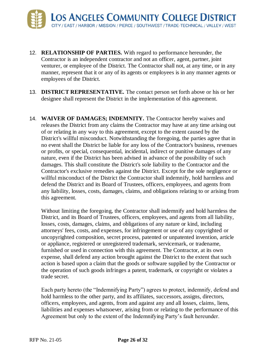- 12. **RELATIONSHIP OF PARTIES.** With regard to performance hereunder, the Contractor is an independent contractor and not an officer, agent, partner, joint venturer, or employee of the District. The Contractor shall not, at any time, or in any manner, represent that it or any of its agents or employees is in any manner agents or employees of the District.
- 13. **DISTRICT REPRESENTATIVE.** The contact person set forth above or his or her designee shall represent the District in the implementation of this agreement.
- 14. **WAIVER OF DAMAGES; INDEMNITY.** The Contractor hereby waives and releases the District from any claims the Contractor may have at any time arising out of or relating in any way to this agreement, except to the extent caused by the District's willful misconduct. Notwithstanding the foregoing, the parties agree that in no event shall the District be liable for any loss of the Contractor's business, revenues or profits, or special, consequential, incidental, indirect or punitive damages of any nature, even if the District has been advised in advance of the possibility of such damages. This shall constitute the District's sole liability to the Contractor and the Contractor's exclusive remedies against the District. Except for the sole negligence or willful misconduct of the District the Contractor shall indemnify, hold harmless and defend the District and its Board of Trustees, officers, employees, and agents from any liability, losses, costs, damages, claims, and obligations relating to or arising from this agreement.

Without limiting the foregoing, the Contractor shall indemnify and hold harmless the District, and its Board of Trustees, officers, employees, and agents from all liability, losses, costs, damages, claims, and obligations of any nature or kind, including attorneys' fees, costs, and expenses, for infringement or use of any copyrighted or uncopyrighted composition, secret process, patented or unpatented invention, article or appliance, registered or unregistered trademark, servicemark, or tradename, furnished or used in connection with this agreement. The Contractor, at its own expense, shall defend any action brought against the District to the extent that such action is based upon a claim that the goods or software supplied by the Contractor or the operation of such goods infringes a patent, trademark, or copyright or violates a trade secret.

Each party hereto (the "Indemnifying Party") agrees to protect, indemnify, defend and hold harmless to the other party, and its affiliates, successors, assigns, directors, officers, employees, and agents, from and against any and all losses, claims, liens, liabilities and expenses whatsoever, arising from or relating to the performance of this Agreement but only to the extent of the Indemnifying Party's fault hereunder.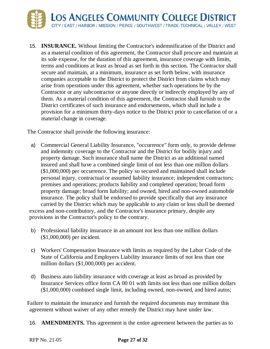

15. **INSURANCE.** Without limiting the Contractor's indemnification of the District and as a material condition of this agreement, the Contractor shall procure and maintain at its sole expense, for the duration of this agreement, insurance coverage with limits, terms and conditions at least as broad as set forth in this section. The Contractor shall secure and maintain, at a minimum, insurance as set forth below, with insurance companies acceptable to the District to protect the District from claims which may arise from operations under this agreement, whether such operations be by the Contractor or any subcontractor or anyone directly or indirectly employed by any of them. As a material condition of this agreement, the Contractor shall furnish to the District certificates of such insurance and endorsements, which shall include a provision for a minimum thirty-days notice to the District prior to cancellation of or a material change in coverage.

The Contractor shall provide the following insurance:

- a) Commercial General Liability Insurance, "occurrence" form only, to provide defense and indemnity coverage to the Contractor and the District for bodily injury and property damage. Such insurance shall name the District as an additional named insured and shall have a combined single limit of not less than one million dollars (\$1,000,000) per occurrence. The policy so secured and maintained shall include personal injury, contractual or assumed liability insurance; independent contractors; premises and operations; products liability and completed operation; broad form property damage; broad form liability; and owned, hired and non-owned automobile insurance. The policy shall be endorsed to provide specifically that any insurance carried by the District which may be applicable to any claim or loss shall be deemed excess and non-contributory, and the Contractor's insurance primary, despite any provisions in the Contractor's policy to the contrary.
- b) Professional liability insurance in an amount not less than one million dollars (\$1,000,000) per incident.
- c) Workers' Compensation Insurance with limits as required by the Labor Code of the State of California and Employers Liability insurance limits of not less than one million dollars (\$1,000,000) per accident.
- d) Business auto liability insurance with coverage at least as broad as provided by Insurance Services office form CA 00 01 with limits not less than one million dollars (\$1,000,000) combined single limit, including owned, non-owned, and hired autos;

Failure to maintain the insurance and furnish the required documents may terminate this agreement without waiver of any other remedy the District may have under law.

16. **AMENDMENTS.** This agreement is the entire agreement between the parties as to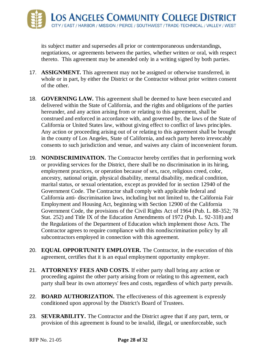its subject matter and supersedes all prior or contemporaneous understandings, negotiations, or agreements between the parties, whether written or oral, with respect thereto. This agreement may be amended only in a writing signed by both parties.

- 17. **ASSIGNMENT.** This agreement may not be assigned or otherwise transferred, in whole or in part, by either the District or the Contractor without prior written consent of the other.
- 18. **GOVERNING LAW.** This agreement shall be deemed to have been executed and delivered within the State of California, and the rights and obligations of the parties hereunder, and any action arising from or relating to this agreement, shall be construed and enforced in accordance with, and governed by, the laws of the State of California or United States law, without giving effect to conflict of laws principles. Any action or proceeding arising out of or relating to this agreement shall be brought in the county of Los Angeles, State of California, and each party hereto irrevocably consents to such jurisdiction and venue, and waives any claim of inconvenient forum.
- 19. **NONDISCRIMINATION.** The Contractor hereby certifies that in performing work or providing services for the District, there shall be no discrimination in its hiring, employment practices, or operation because of sex, race, religious creed, color, ancestry, national origin, physical disability, mental disability, medical condition, marital status, or sexual orientation, except as provided for in section 12940 of the Government Code. The Contractor shall comply with applicable federal and California anti- discrimination laws, including but not limited to, the California Fair Employment and Housing Act, beginning with Section 12900 of the California Government Code, the provisions of the Civil Rights Act of 1964 (Pub. L. 88-352; 78 Stat. 252) and Title IX of the Education Amendments of 1972 (Pub. L. 92-318) and the Regulations of the Department of Education which implement those Acts. The Contractor agrees to require compliance with this nondiscrimination policy by all subcontractors employed in connection with this agreement.
- 20. **EQUAL OPPORTUNITY EMPLOYER.** The Contractor, in the execution of this agreement, certifies that it is an equal employment opportunity employer.
- 21. **ATTORNEYS' FEES AND COSTS.** If either party shall bring any action or proceeding against the other party arising from or relating to this agreement, each party shall bear its own attorneys' fees and costs, regardless of which party prevails.
- 22. **BOARD AUTHORIZATION.** The effectiveness of this agreement is expressly conditioned upon approval by the District's Board of Trustees.
- 23. **SEVERABILITY.** The Contractor and the District agree that if any part, term, or provision of this agreement is found to be invalid, illegal, or unenforceable, such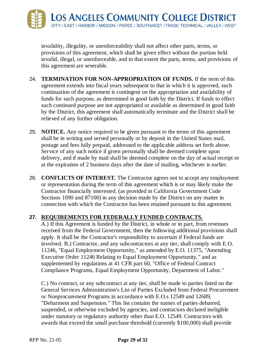

invalidity, illegality, or unenforceability shall not affect other parts, terms, or provisions of this agreement, which shall be given effect without the portion held invalid, illegal, or unenforceable, and to that extent the parts, terms, and provisions of this agreement are severable.

- 24. **TERMINATION FOR NON-APPROPRIATION OF FUNDS.** If the term of this agreement extends into fiscal years subsequent to that in which it is approved, such continuation of the agreement is contingent on the appropriation and availability of funds for such purpose, as determined in good faith by the District. If funds to effect such continued purpose are not appropriated or available as determined in good faith by the District, this agreement shall automatically terminate and the District shall be relieved of any further obligation.
- 25. **NOTICE.** Any notice required to be given pursuant to the terms of this agreement shall be in writing and served personally or by deposit in the United States mail, postage and fees fully prepaid, addressed to the applicable address set forth above. Service of any such notice if given personally shall be deemed complete upon delivery, and if made by mail shall be deemed complete on the day of actual receipt or at the expiration of 2 business days after the date of mailing, whichever is earlier.
- 26. **CONFLICTS OF INTEREST.** The Contractor agrees not to accept any employment or representation during the term of this agreement which is or may likely make the Contractor financially interested. (as provided in California Government Code Sections 1090 and 87100) in any decision made by the District on any matter in connection with which the Contractor has been retained pursuant to this agreement.

#### **27. REQUIREMENTS FOR FEDERALLY FUNDED CONTRACTS.**

A.) If this Agreement is funded by the District, in whole or in part, from revenues received from the Federal Government, then the following additional provisions shall apply. It shall be the Contractor's responsibility to ascertain if Federal funds are involved. B.) Contractor, and any subcontractors at any tier, shall comply with E.O. 11246, "Equal Employment Opportunity," as amended by E.O. 11375, "Amending Executive Order 11246 Relating to Equal Employment Opportunity," and as supplemented by regulations at 41 CFR part 60, "Office of Federal Contract Compliance Programs, Equal Employment Opportunity, Department of Labor."

C.) No contract, or any subcontract at any tier, shall be made to parties listed on the General Services Administration's List of Parties Excluded from Federal Procurement or Nonprocurement Programs in accordance with E.O.s 12549 and 12689, "Debarment and Suspension." This list contains the names of parties debarred, suspended, or otherwise excluded by agencies, and contractors declared ineligible under statutory or regulatory authority other than E.O. 12549. Contractors with awards that exceed the small purchase threshold (currently \$100,000) shall provide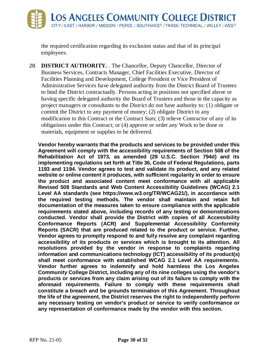the required certification regarding its exclusion status and that of its principal employees.

28. **DISTRICT AUTHORITY.** . The Chancellor, Deputy Chancellor, Director of Business Services, Contracts Manager, Chief Facilities Executive, Director of Facilities Planning and Development, College President or Vice President of Administrative Services have delegated authority from the District Board of Trustees to bind the District contractually. Persons acting in positions not specified above or having specific delegated authority the Board of Trustees and those in the capacity as project managers or consultants to the District do not have authority to: (1) obligate or commit the District to any payment of money; (2) obligate District to any modification to this Contract or the Contract Sum; (3) relieve Contractor of any of its obligations under this Contract; or (4) approve or order any Work to be done or materials, equipment or supplies to be delivered.

**Vendor hereby warrants that the products and services to be provided under this Agreement will comply with the accessibility requirements of Section 508 of the Rehabilitation Act of 1973, as amended (29 U.S.C. Section 794d) and its implementing regulations set forth at Title 36, Code of Federal Regulations, parts 1193 and 1194. Vendor agrees to test and validate its product, and any related website or online content it produces, with sufficient regularity in order to ensure the product and associated content meet conformance with all applicable Revised 508 Standards and Web Content Accessibility Guidelines (WCAG) 2.1 Level AA standards (see https://www.w3.org/TR/WCAG21/), in accordance with the required testing methods. The vendor shall maintain and retain full documentation of the measures taken to ensure compliance with the applicable requirements stated above, including records of any testing or demonstrations conducted. Vendor shall provide the District with copies of all Accessibility Conformance Reports (ACR) and Supplemental Accessibility Conformity Reports (SACR) that are produced related to the product or service. Further, Vendor agrees to promptly respond to and fully resolve any complaint regarding accessibility of its products or services which is brought to its attention. All resolutions provided by the vendor in response to complaints regarding information and communications technology (ICT) accessibility of its product(s) shall meet conformance with established WCAG 2.1 Level AA requirements. Vendor further agrees to indemnify and hold harmless the Los Angeles Community College District, including any of its nine colleges using the vendor's products or services from any claim arising out of its failure to comply with the aforesaid requirements. Failure to comply with these requirements shall constitute a breach and be grounds termination of this Agreement. Throughout the life of the agreement, the District reserves the right to independently perform any necessary testing on vendor's product or service to verify conformance or any representation of conformance made by the vendor with this section.**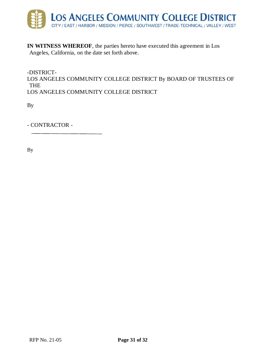

**IN WITNESS WHEREOF**, the parties hereto have executed this agreement in Los Angeles, California, on the date set forth above.

-DISTRICT-LOS ANGELES COMMUNITY COLLEGE DISTRICT By BOARD OF TRUSTEES OF THE LOS ANGELES COMMUNITY COLLEGE DISTRICT

By

- CONTRACTOR -

By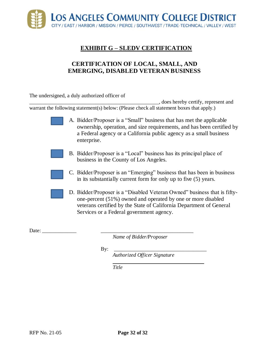<span id="page-33-0"></span>

# **EXHIBIT G – SLEDV CERTIFICATION**

#### **CERTIFICATION OF LOCAL, SMALL, AND EMERGING, DISABLED VETERAN BUSINESS**

The undersigned, a duly authorized officer of

\_\_\_\_\_\_\_\_\_\_\_\_\_\_\_\_\_\_\_\_\_\_\_\_\_\_\_\_\_\_\_\_\_\_\_\_\_\_\_\_\_\_\_\_\_\_\_\_\_, does hereby certify, represent and warrant the following statement(s) below: (Please check all statement boxes that apply.)

> A. Bidder/Proposer is a "Small" business that has met the applicable ownership, operation, and size requirements, and has been certified by a Federal agency or a California public agency as a small business enterprise.

- B. Bidder/Proposer is a "Local" business has its principal place of business in the County of Los Angeles.
- C. Bidder/Proposer is an "Emerging" business that has been in business in its substantially current form for only up to five (5) years.
- D. Bidder/Proposer is a "Disabled Veteran Owned" business that is fiftyone-percent (51%) owned and operated by one or more disabled veterans certified by the State of California Department of General Services or a Federal government agency.

Date:

*Name of Bidder/Proposer*

By: \_\_\_\_\_\_\_\_\_\_\_\_\_\_\_\_\_\_\_\_\_\_\_\_\_\_\_\_\_\_\_\_\_\_\_

*Authorized Officer Signature*

*Title*